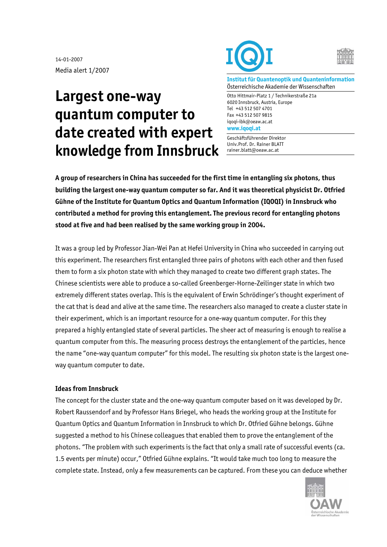14-01-2007 Media alert 1/2007

## **Largest one-way quantum computer to date created with expert knowledge from Innsbruck**





**Institut für Quantenoptik und Quanteninformation**  Österreichische Akademie der Wissenschaften

Otto Hittmair-Platz 1 / Technikerstraße 21a 6020 Innsbruck, Austria, Europe Tel +43 512 507 4701 Fax +43 512 507 9815 iqoqi-ibk@oeaw.ac.at **www.iqoqi.at** 

Geschäftsführender Direktor Univ.Prof. Dr. Rainer BLATT rainer.blatt@oeaw.ac.at

**A group of researchers in China has succeeded for the first time in entangling six photons, thus building the largest one-way quantum computer so far. And it was theoretical physicist Dr. Otfried Gühne of the Institute for Quantum Optics and Quantum Information (IQOQI) in Innsbruck who contributed a method for proving this entanglement. The previous record for entangling photons stood at five and had been realised by the same working group in 2004.** 

It was a group led by Professor Jian-Wei Pan at Hefei University in China who succeeded in carrying out this experiment. The researchers first entangled three pairs of photons with each other and then fused them to form a six photon state with which they managed to create two different graph states. The Chinese scientists were able to produce a so-called Greenberger-Horne-Zeilinger state in which two extremely different states overlap. This is the equivalent of Erwin Schrödinger's thought experiment of the cat that is dead and alive at the same time. The researchers also managed to create a cluster state in their experiment, which is an important resource for a one-way quantum computer. For this they prepared a highly entangled state of several particles. The sheer act of measuring is enough to realise a quantum computer from this. The measuring process destroys the entanglement of the particles, hence the name "one-way quantum computer" for this model. The resulting six photon state is the largest oneway quantum computer to date.

## **Ideas from Innsbruck**

The concept for the cluster state and the one-way quantum computer based on it was developed by Dr. Robert Raussendorf and by Professor Hans Briegel, who heads the working group at the Institute for Quantum Optics and Quantum Information in Innsbruck to which Dr. Otfried Gühne belongs. Gühne suggested a method to his Chinese colleagues that enabled them to prove the entanglement of the photons. "The problem with such experiments is the fact that only a small rate of successful events (ca. 1.5 events per minute) occur," Otfried Gühne explains. "It would take much too long to measure the complete state. Instead, only a few measurements can be captured. From these you can deduce whether